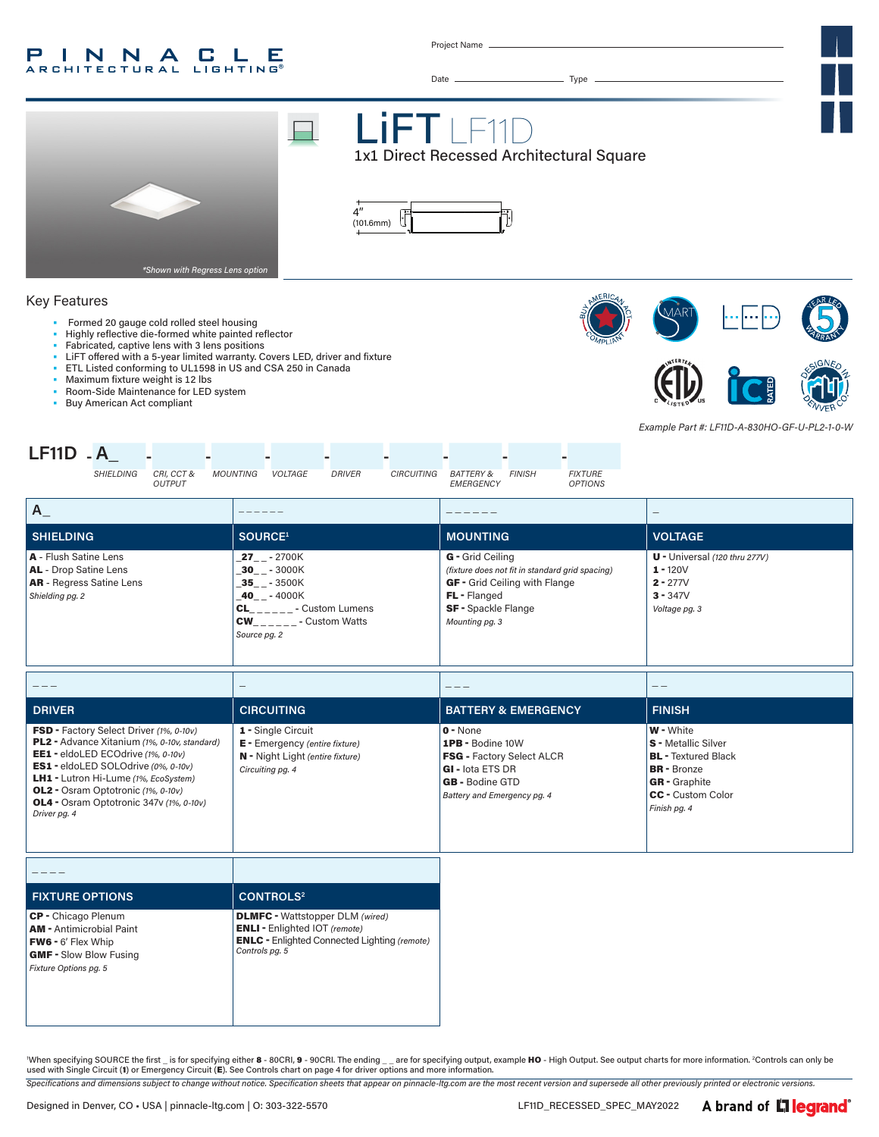#### P INNA **GLE A R CHITECTURAL LIGHTING**

Project Name



'When specifying SOURCE the first \_ is for specifying either 8 - 80CRI, 9 - 90CRI. The ending \_\_ are for specifying output, example HO - High Output. See output charts for more information. <sup>2</sup>Controls can only be used with Single Circuit (1) or Emergency Circuit (E). See Controls chart on page 4 for driver options and more information.

*Specifications and dimensions subject to change without notice. Specification sheets that appear on pinnacle-ltg.com are the most recent version and supersede all other previously printed or electronic versions.*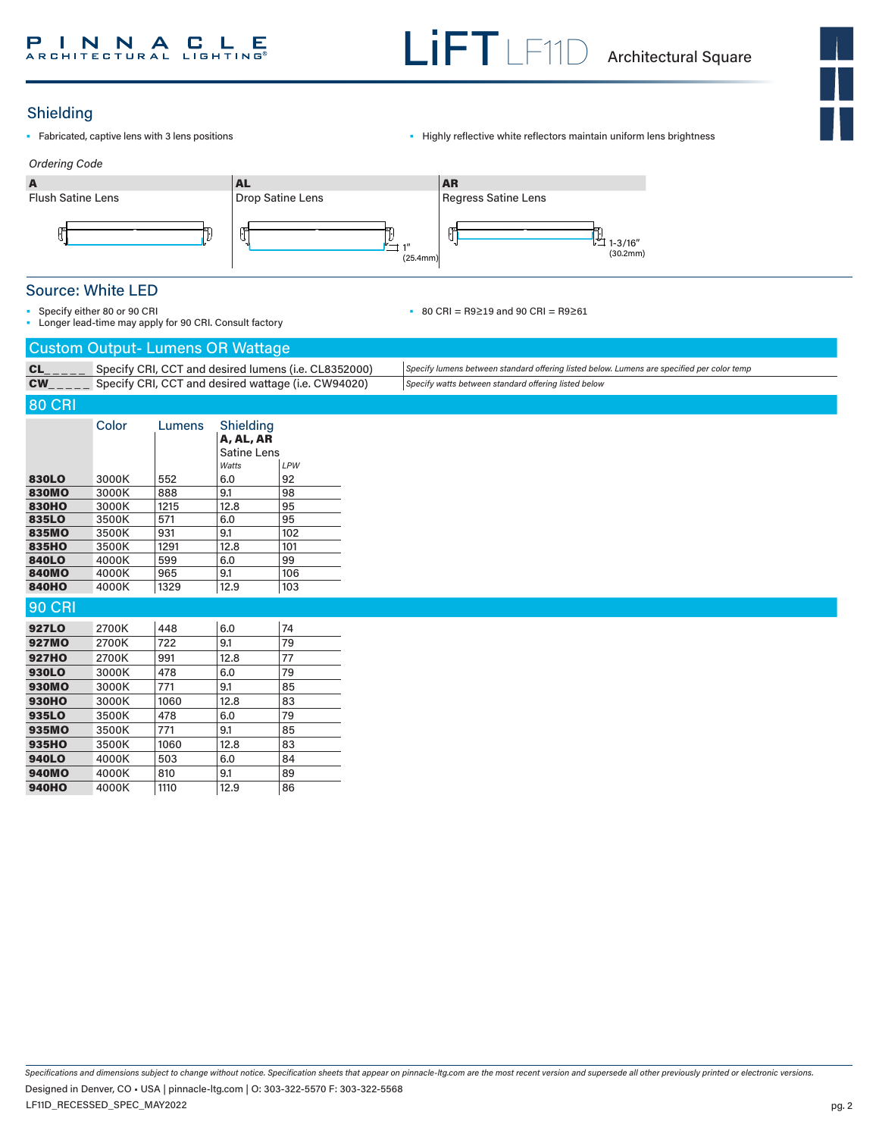# Shielding

- 
- Fabricated, captive lens with 3 lens positions  **Captive 1998** Highly reflective white reflectors maintain uniform lens brightness



# Source: White LED

• Specify either 80 or 90 CRI

• Longer lead-time may apply for 90 CRI. Consult factory

#### • 80 CRI = R9≥19 and 90 CRI = R9≥61

# Custom Output- Lumens OR Wattage

| $\sim$ 0.000 0.000 0.000 0.000 0.000 0.000 0.000 0.000 0.000 0.000 0.000 0.000 0.000 0.000 0.000 0.000 0.000 0.000 0.000 0.000 0.000 0.000 0.000 0.000 0.000 0.000 0.000 0.000 0.000 0.000 0.000 0.000 0.000 0.000 0.000 0.000 |                                                                                            |
|--------------------------------------------------------------------------------------------------------------------------------------------------------------------------------------------------------------------------------|--------------------------------------------------------------------------------------------|
| Specify CRI, CCT and desired lumens (i.e. CL8352000)                                                                                                                                                                           | Specify lumens between standard offering listed below. Lumens are specified per color temp |
| CW_____ Specify CRI, CCT and desired wattage (i.e. CW94020)                                                                                                                                                                    | Specify watts between standard offering listed below                                       |

# 80 CRI

|              | Color | Lumens | Shielding<br>A, AL, AR |     |
|--------------|-------|--------|------------------------|-----|
|              |       |        | Satine Lens            |     |
|              |       |        | Watts                  | LPW |
| 830LO        | 3000K | 552    | 6.0                    | 92  |
| <b>830MO</b> | 3000K | 888    | 9.1                    | 98  |
| <b>830HO</b> | 3000K | 1215   | 12.8                   | 95  |
| 835LO        | 3500K | 571    | 6.0                    | 95  |
| 835MO        | 3500K | 931    | 9.1                    | 102 |
| 835HO        | 3500K | 1291   | 12.8                   | 101 |
| <b>840LO</b> | 4000K | 599    | 6.0                    | 99  |
| <b>840MO</b> | 4000K | 965    | 9.1                    | 106 |
| <b>840HO</b> | 4000K | 1329   | 12.9                   | 103 |

### 90 CRI

| <b>927LO</b> | 2700K | 448  | 6.0  | 74 |
|--------------|-------|------|------|----|
| 927MO        | 2700K | 722  | 9.1  | 79 |
| <b>927HO</b> | 2700K | 991  | 12.8 | 77 |
| 930LO        | 3000K | 478  | 6.0  | 79 |
| 930MO        | 3000K | 771  | 9.1  | 85 |
| <b>930HO</b> | 3000K | 1060 | 12.8 | 83 |
| 935LO        | 3500K | 478  | 6.0  | 79 |
| 935MO        | 3500K | 771  | 9.1  | 85 |
| 935HO        | 3500K | 1060 | 12.8 | 83 |
| 940LO        | 4000K | 503  | 6.0  | 84 |
| <b>940MO</b> | 4000K | 810  | 9.1  | 89 |
| <b>940HO</b> | 4000K | 1110 | 12.9 | 86 |

*Specifications and dimensions subject to change without notice. Specification sheets that appear on pinnacle-ltg.com are the most recent version and supersede all other previously printed or electronic versions.* LF11D\_RECESSED\_SPEC\_MAY2022 Designed in Denver, CO • USA | pinnacle-ltg.com | O: 303-322-5570 F: 303-322-5568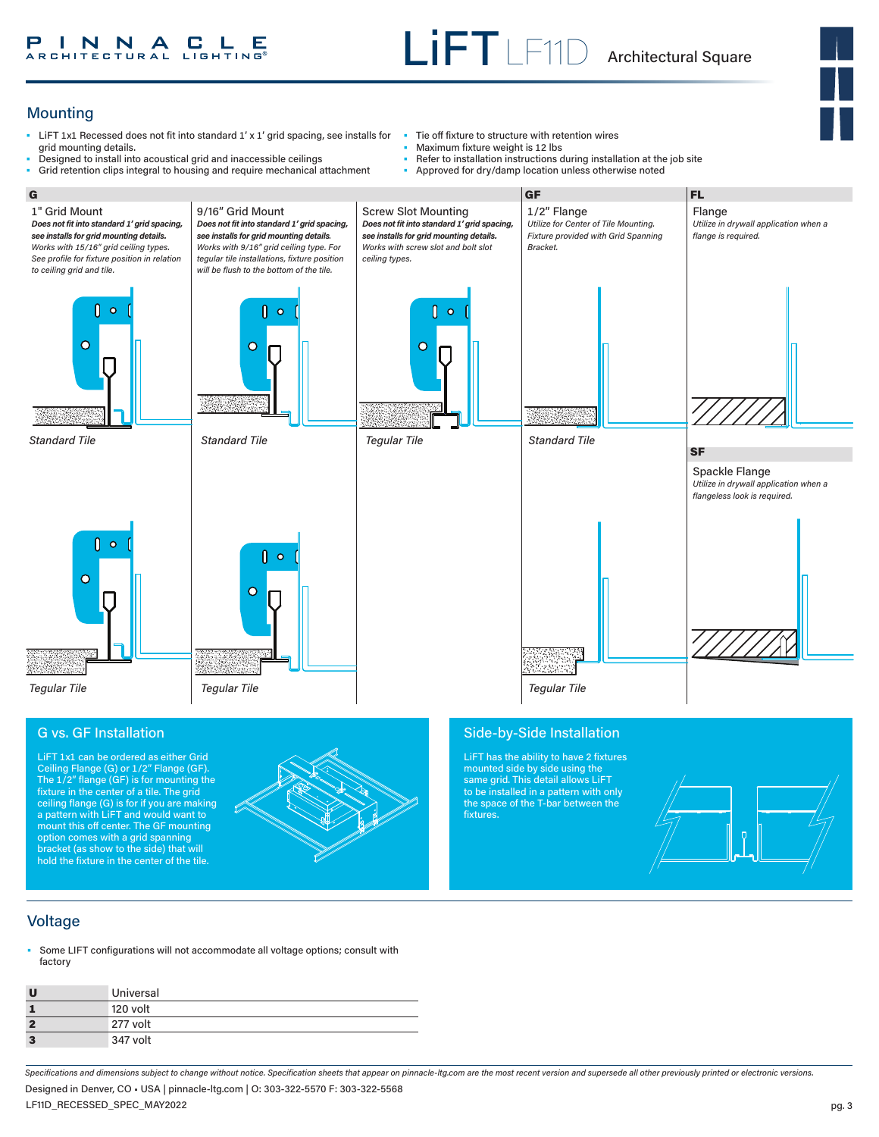

# Mounting

- LiFT 1x1 Recessed does not fit into standard 1' x 1' grid spacing, see installs for grid mounting details.
- Designed to install into acoustical grid and inaccessible ceilings<br>• Grid retention clins integral to bousing and require mechanical a Grid retention clips integral to housing and require mechanical attachment
- Tie off fixture to structure with retention wires
	- Maximum fixture weight is 12 lbs
	- Refer to installation instructions during installation at the job site

the space of the T-bar between the

fixtures.

• Approved for dry/damp location unless otherwise noted



fixture in the center of a tile. The grid ceiling flange (G) is for if you are making a pattern with LiFT and would want to mount this off center. The GF mounting option comes with a grid spanning bracket (as show to the side) that will hold the fixture in the center of the tile.



# Voltage

• Some LIFT configurations will not accommodate all voltage options; consult with factory

| U            | Universal |
|--------------|-----------|
|              | 120 volt  |
| $\mathbf{2}$ | 277 volt  |
| $\mathbf{3}$ | 347 volt  |

*Specifications and dimensions subject to change without notice. Specification sheets that appear on pinnacle-ltg.com are the most recent version and supersede all other previously printed or electronic versions.* LF11D\_RECESSED\_SPEC\_MAY2022 Designed in Denver, CO • USA | pinnacle-ltg.com | O: 303-322-5570 F: 303-322-5568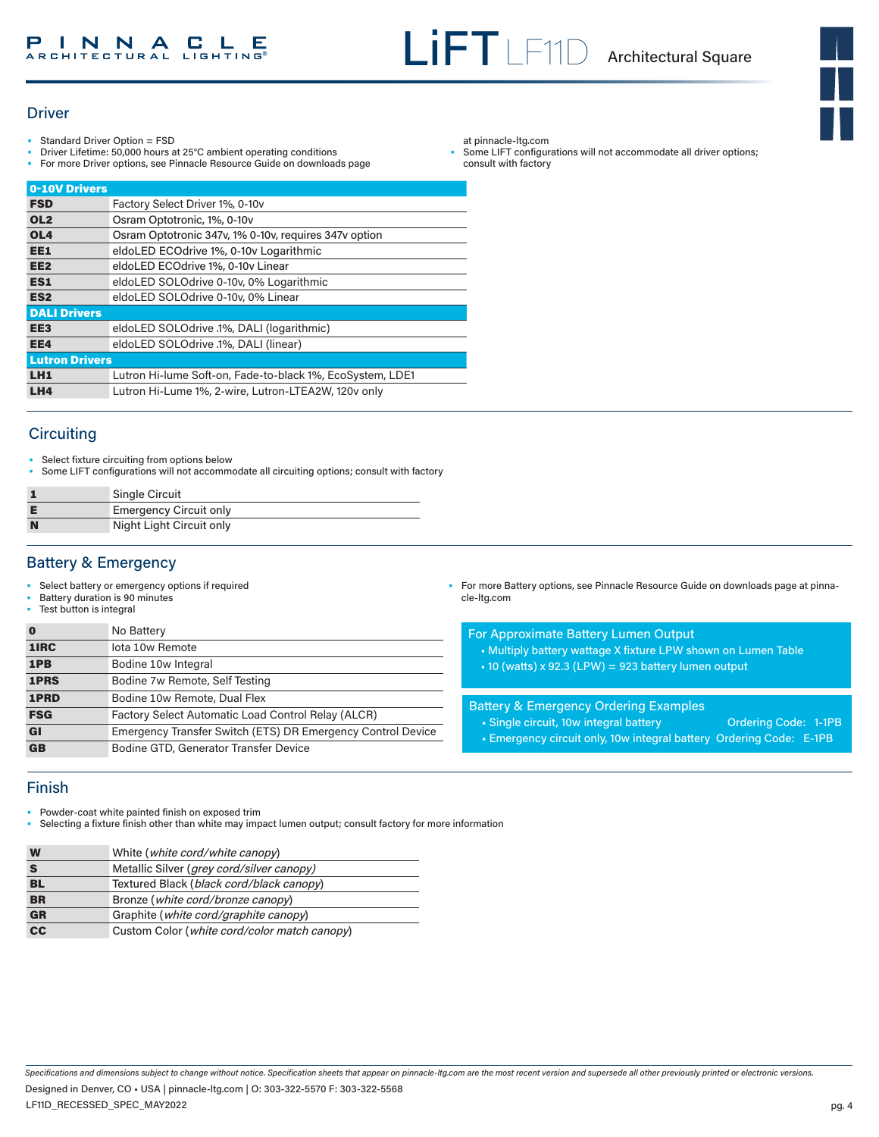Some LIFT configurations will not accommodate all driver options;

at pinnacle-ltg.com

consult with factory



### **Driver**

- Standard Driver Option = FSD
- Driver Lifetime: 50,000 hours at 25°C ambient operating conditions
- For more Driver options, see Pinnacle Resource Guide on downloads page

| 0-10V Drivers         |                                                           |
|-----------------------|-----------------------------------------------------------|
| <b>FSD</b>            | Factory Select Driver 1%, 0-10v                           |
| OL <sub>2</sub>       | Osram Optotronic, 1%, 0-10v                               |
| OL <sub>4</sub>       | Osram Optotronic 347v, 1% 0-10v, requires 347v option     |
| EE1                   | eldoLED ECOdrive 1%, 0-10y Logarithmic                    |
| EE <sub>2</sub>       | eldoLED ECOdrive 1%, 0-10y Linear                         |
| ES1                   | eldoLED SOLOdrive 0-10v, 0% Logarithmic                   |
| ES <sub>2</sub>       | eldoLED SOLOdrive 0-10v, 0% Linear                        |
| <b>DALI Drivers</b>   |                                                           |
| EE <sub>3</sub>       | eldoLED SOLOdrive .1%, DALI (logarithmic)                 |
| EE4                   | eldoLED SOLOdrive .1%, DALI (linear)                      |
| <b>Lutron Drivers</b> |                                                           |
| LH <sub>1</sub>       | Lutron Hi-lume Soft-on, Fade-to-black 1%, EcoSystem, LDE1 |
| LH4                   | Lutron Hi-Lume 1%, 2-wire, Lutron-LTEA2W, 120v only       |
|                       |                                                           |

# **Circuiting**

• Select fixture circuiting from options below<br>• Some LIFT configurations will not accomment

• Some LIFT configurations will not accommodate all circuiting options; consult with factory

|   | <b>Single Circuit</b>         |
|---|-------------------------------|
|   | <b>Emergency Circuit only</b> |
| N | Night Light Circuit only      |

# Battery & Emergency

- Select battery or emergency options if required
- Battery duration is 90 minutes
- Test button is integral

| 1IRC<br>lota 10w Remote<br>1PB<br>Bodine 10w Integral<br>1PRS<br>Bodine 7w Remote, Self Testing | $\bf{0}$ | No Battery |
|-------------------------------------------------------------------------------------------------|----------|------------|
|                                                                                                 |          |            |
|                                                                                                 |          |            |
|                                                                                                 |          |            |
| 1PRD<br>Bodine 10w Remote, Dual Flex                                                            |          |            |
| <b>FSG</b><br>Factory Select Automatic Load Control Relay (ALCR)                                |          |            |
| Emergency Transfer Switch (ETS) DR Emergency Control Device<br><b>GI</b>                        |          |            |
| <b>GB</b><br>Bodine GTD, Generator Transfer Device                                              |          |            |

• For more Battery options, see Pinnacle Resource Guide on downloads page at pinnacle-ltg.com

### For Approximate Battery Lumen Output

- Multiply battery wattage X fixture LPW shown on Lumen Table
- $\bullet$  10 (watts) x 92.3 (LPW) = 923 battery lumen output

Battery & Emergency Ordering Examples

- Single circuit, 10w integral battery **Ordering Code: 1-1PB**
- Emergency circuit only, 10w integral battery Ordering Code: E-1PB

# Finish

• Powder-coat white painted finish on exposed trim

• Selecting a fixture finish other than white may impact lumen output; consult factory for more information

| W         | White ( <i>white cord/white canopy</i> )           |
|-----------|----------------------------------------------------|
|           | Metallic Silver ( <i>grey cord/silver canopy</i> ) |
| <b>BL</b> | Textured Black (black cord/black canopy)           |
| <b>BR</b> | Bronze (white cord/bronze canopy)                  |
| GR        | Graphite ( <i>white cord/graphite canopy</i> )     |
| cc        | Custom Color (white cord/color match canopy)       |

*Specifications and dimensions subject to change without notice. Specification sheets that appear on pinnacle-ltg.com are the most recent version and supersede all other previously printed or electronic versions.*

LF11D\_RECESSED\_SPEC\_MAY2022 Designed in Denver, CO • USA | pinnacle-ltg.com | O: 303-322-5570 F: 303-322-5568